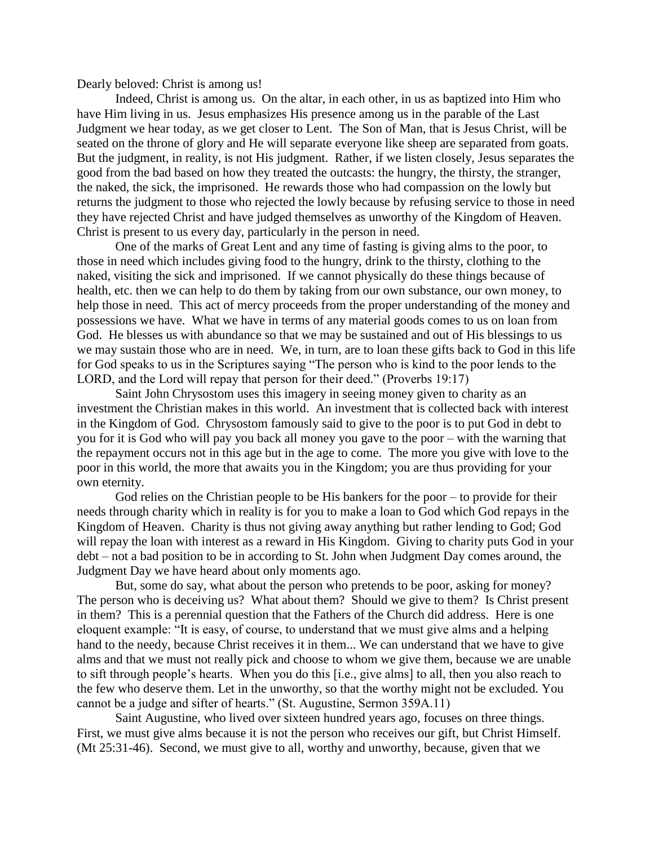Dearly beloved: Christ is among us!

Indeed, Christ is among us. On the altar, in each other, in us as baptized into Him who have Him living in us. Jesus emphasizes His presence among us in the parable of the Last Judgment we hear today, as we get closer to Lent. The Son of Man, that is Jesus Christ, will be seated on the throne of glory and He will separate everyone like sheep are separated from goats. But the judgment, in reality, is not His judgment. Rather, if we listen closely, Jesus separates the good from the bad based on how they treated the outcasts: the hungry, the thirsty, the stranger, the naked, the sick, the imprisoned. He rewards those who had compassion on the lowly but returns the judgment to those who rejected the lowly because by refusing service to those in need they have rejected Christ and have judged themselves as unworthy of the Kingdom of Heaven. Christ is present to us every day, particularly in the person in need.

One of the marks of Great Lent and any time of fasting is giving alms to the poor, to those in need which includes giving food to the hungry, drink to the thirsty, clothing to the naked, visiting the sick and imprisoned. If we cannot physically do these things because of health, etc. then we can help to do them by taking from our own substance, our own money, to help those in need. This act of mercy proceeds from the proper understanding of the money and possessions we have. What we have in terms of any material goods comes to us on loan from God. He blesses us with abundance so that we may be sustained and out of His blessings to us we may sustain those who are in need. We, in turn, are to loan these gifts back to God in this life for God speaks to us in the Scriptures saying "The person who is kind to the poor lends to the LORD, and the Lord will repay that person for their deed." (Proverbs 19:17)

Saint John Chrysostom uses this imagery in seeing money given to charity as an investment the Christian makes in this world. An investment that is collected back with interest in the Kingdom of God. Chrysostom famously said to give to the poor is to put God in debt to you for it is God who will pay you back all money you gave to the poor – with the warning that the repayment occurs not in this age but in the age to come. The more you give with love to the poor in this world, the more that awaits you in the Kingdom; you are thus providing for your own eternity.

God relies on the Christian people to be His bankers for the poor  $-$  to provide for their needs through charity which in reality is for you to make a loan to God which God repays in the Kingdom of Heaven. Charity is thus not giving away anything but rather lending to God; God will repay the loan with interest as a reward in His Kingdom. Giving to charity puts God in your debt – not a bad position to be in according to St. John when Judgment Day comes around, the Judgment Day we have heard about only moments ago.

But, some do say, what about the person who pretends to be poor, asking for money? The person who is deceiving us? What about them? Should we give to them? Is Christ present in them? This is a perennial question that the Fathers of the Church did address. Here is one eloquent example: "It is easy, of course, to understand that we must give alms and a helping hand to the needy, because Christ receives it in them... We can understand that we have to give alms and that we must not really pick and choose to whom we give them, because we are unable to sift through people's hearts. When you do this [i.e., give alms] to all, then you also reach to the few who deserve them. Let in the unworthy, so that the worthy might not be excluded. You cannot be a judge and sifter of hearts." (St. Augustine, Sermon 359A.11)

Saint Augustine, who lived over sixteen hundred years ago, focuses on three things. First, we must give alms because it is not the person who receives our gift, but Christ Himself. (Mt 25:31-46). Second, we must give to all, worthy and unworthy, because, given that we